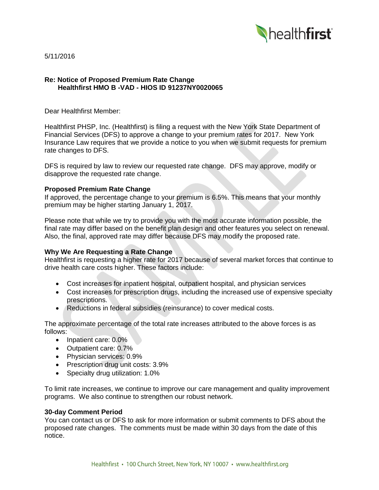

5/11/2016

## **Re: Notice of Proposed Premium Rate Change Healthfirst HMO B -VAD - HIOS ID 91237NY0020065**

Dear Healthfirst Member:

Healthfirst PHSP, Inc. (Healthfirst) is filing a request with the New York State Department of Financial Services (DFS) to approve a change to your premium rates for 2017. New York Insurance Law requires that we provide a notice to you when we submit requests for premium rate changes to DFS.

DFS is required by law to review our requested rate change. DFS may approve, modify or disapprove the requested rate change.

## **Proposed Premium Rate Change**

If approved, the percentage change to your premium is 6.5%. This means that your monthly premium may be higher starting January 1, 2017.

Please note that while we try to provide you with the most accurate information possible, the final rate may differ based on the benefit plan design and other features you select on renewal. Also, the final, approved rate may differ because DFS may modify the proposed rate.

# **Why We Are Requesting a Rate Change**

Healthfirst is requesting a higher rate for 2017 because of several market forces that continue to drive health care costs higher. These factors include:

- Cost increases for inpatient hospital, outpatient hospital, and physician services
- Cost increases for prescription drugs, including the increased use of expensive specialty prescriptions.
- Reductions in federal subsidies (reinsurance) to cover medical costs.

The approximate percentage of the total rate increases attributed to the above forces is as follows:

- Inpatient care: 0.0%
- Outpatient care: 0.7%
- Physician services: 0.9%
- Prescription drug unit costs: 3.9%
- Specialty drug utilization: 1.0%

To limit rate increases, we continue to improve our care management and quality improvement programs. We also continue to strengthen our robust network.

#### **30-day Comment Period**

You can contact us or DFS to ask for more information or submit comments to DFS about the proposed rate changes. The comments must be made within 30 days from the date of this notice.